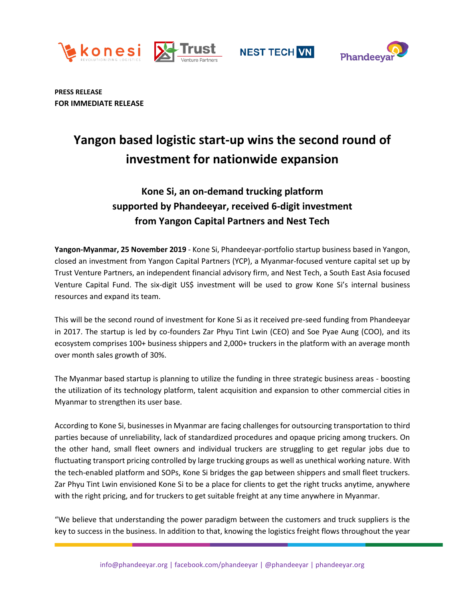





**PRESS RELEASE FOR IMMEDIATE RELEASE**

# **Yangon based logistic start-up wins the second round of investment for nationwide expansion**

## **Kone Si, an on-demand trucking platform supported by Phandeeyar, received 6-digit investment from Yangon Capital Partners and Nest Tech**

**Yangon-Myanmar, 25 November 2019** - Kone Si, Phandeeyar-portfolio startup business based in Yangon, closed an investment from Yangon Capital Partners (YCP), a Myanmar-focused venture capital set up by Trust Venture Partners, an independent financial advisory firm, and Nest Tech, a South East Asia focused Venture Capital Fund. The six-digit US\$ investment will be used to grow Kone Si's internal business resources and expand its team.

This will be the second round of investment for Kone Si as it received pre-seed funding from Phandeeyar in 2017. The startup is led by co-founders Zar Phyu Tint Lwin (CEO) and Soe Pyae Aung (COO), and its ecosystem comprises 100+ business shippers and 2,000+ truckers in the platform with an average month over month sales growth of 30%.

The Myanmar based startup is planning to utilize the funding in three strategic business areas - boosting the utilization of its technology platform, talent acquisition and expansion to other commercial cities in Myanmar to strengthen its user base.

According to Kone Si, businesses in Myanmar are facing challenges for outsourcing transportation to third parties because of unreliability, lack of standardized procedures and opaque pricing among truckers. On the other hand, small fleet owners and individual truckers are struggling to get regular jobs due to fluctuating transport pricing controlled by large trucking groups as well as unethical working nature. With the tech-enabled platform and SOPs, Kone Si bridges the gap between shippers and small fleet truckers. Zar Phyu Tint Lwin envisioned Kone Si to be a place for clients to get the right trucks anytime, anywhere with the right pricing, and for truckers to get suitable freight at any time anywhere in Myanmar.

"We believe that understanding the power paradigm between the customers and truck suppliers is the key to success in the business. In addition to that, knowing the logistics freight flows throughout the year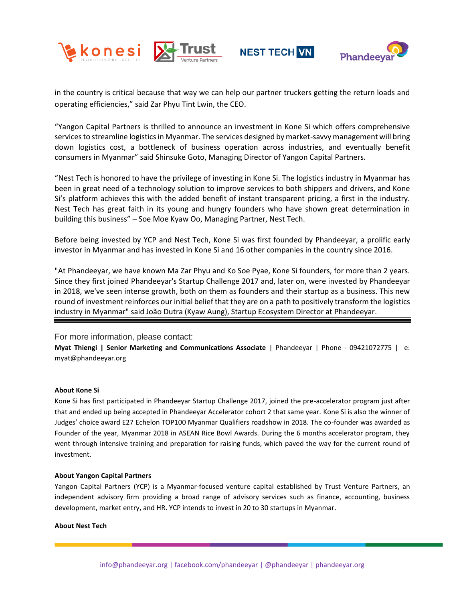





in the country is critical because that way we can help our partner truckers getting the return loads and operating efficiencies," said Zar Phyu Tint Lwin, the CEO.

"Yangon Capital Partners is thrilled to announce an investment in Kone Si which offers comprehensive services to streamline logistics in Myanmar. The services designed by market-savvy management will bring down logistics cost, a bottleneck of business operation across industries, and eventually benefit consumers in Myanmar" said Shinsuke Goto, Managing Director of Yangon Capital Partners.

"Nest Tech is honored to have the privilege of investing in Kone Si. The logistics industry in Myanmar has been in great need of a technology solution to improve services to both shippers and drivers, and Kone Si's platform achieves this with the added benefit of instant transparent pricing, a first in the industry. Nest Tech has great faith in its young and hungry founders who have shown great determination in building this business" – Soe Moe Kyaw Oo, Managing Partner, Nest Tech.

Before being invested by YCP and Nest Tech, Kone Si was first founded by Phandeeyar, a prolific early investor in Myanmar and has invested in Kone Si and 16 other companies in the country since 2016.

"At Phandeeyar, we have known Ma Zar Phyu and Ko Soe Pyae, Kone Si founders, for more than 2 years. Since they first joined Phandeeyar's Startup Challenge 2017 and, later on, were invested by Phandeeyar in 2018, we've seen intense growth, both on them as founders and their startup as a business. This new round of investment reinforces our initial belief that they are on a path to positively transform the logistics industry in Myanmar" said João Dutra (Kyaw Aung), Startup Ecosystem Director at Phandeeyar.

### For more information, please contact:

**Myat Thiengi | Senior Marketing and Communications Associate** | Phandeeyar | Phone - 09421072775 | e: myat@phandeeyar.org

### **About Kone Si**

Kone Si has first participated in Phandeeyar Startup Challenge 2017, joined the pre-accelerator program just after that and ended up being accepted in Phandeeyar Accelerator cohort 2 that same year. Kone Si is also the winner of Judges' choice award E27 Echelon TOP100 Myanmar Qualifiers roadshow in 2018. The co-founder was awarded as Founder of the year, Myanmar 2018 in ASEAN Rice Bowl Awards. During the 6 months accelerator program, they went through intensive training and preparation for raising funds, which paved the way for the current round of investment.

### **About Yangon Capital Partners**

Yangon Capital Partners (YCP) is a Myanmar-focused venture capital established by Trust Venture Partners, an independent advisory firm providing a broad range of advisory services such as finance, accounting, business development, market entry, and HR. YCP intends to invest in 20 to 30 startups in Myanmar.

#### **About Nest Tech**